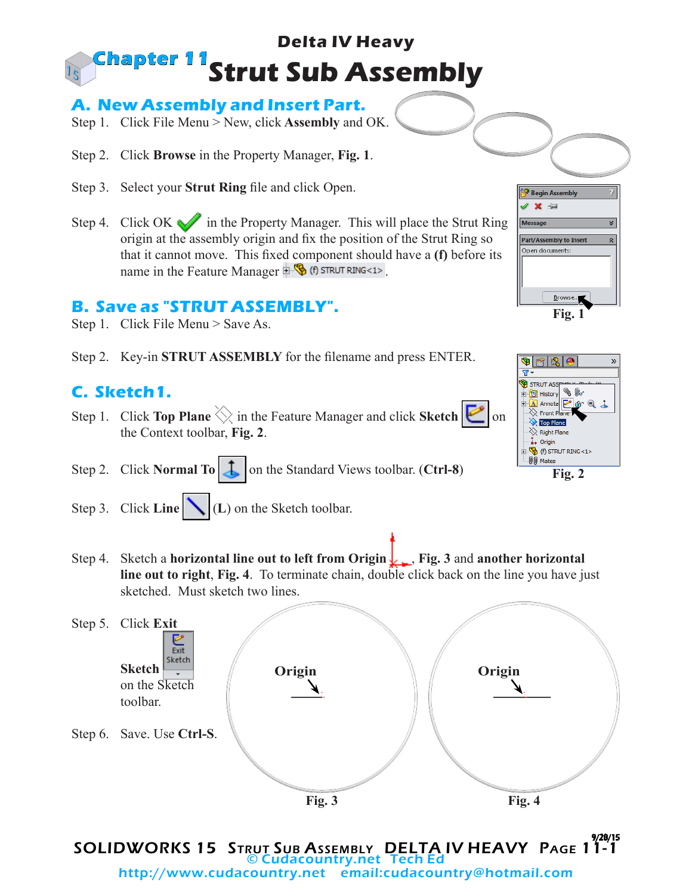### **Delta IV Heavy Strut Sub Assembly Chapter 11**

### **A. New Assembly and Insert Part.**

- Step 1. Click File Menu > New, click **Assembly** and OK.
- Step 2. Click **Browse** in the Property Manager, **Fig. 1**.
- Step 3. Select your **Strut Ring** file and click Open.
- Step 4. Click OK in the Property Manager. This will place the Strut Ring origin at the assembly origin and fix the position of the Strut Ring so that it cannot move. This fixed component should have a **(f)** before its name in the Feature Manager  $\mathbb{R}$  (f) strut RING<1>.

#### **B. Save as "STRUT ASSEMBLY".**

- Step 1. Click File Menu > Save As.
- Step 2. Key-in **STRUT ASSEMBLY** for the filename and press ENTER.

## **C. Sketch1.**

- Step 1. Click **Top Plane**  $\Diamond$  in the Feature Manager and click **Sketch in** on the Context toolbar, **Fig. 2**.
- Step 2. Click **Normal To**  $\begin{array}{|c|c|c|} \hline \end{array}$  on the Standard Views toolbar. (**Ctrl-8**)
- Step 3. Click **Line** (L) on the Sketch toolbar.
- Step 4. Sketch a **horizontal line out to left from Origin** , **Fig. 3** and **another horizontal line out to right**, **Fig. 4**. To terminate chain, double click back on the line you have just sketched. Must sketch two lines.



SOLIDWORKS 15 STRUT SUB ASSEMBLY DELTA IV HEAVY PAGE 11-1 © Cudacountry.net Tech Ed http://www.cudacountry.net email:cudacountry@hotmail.com



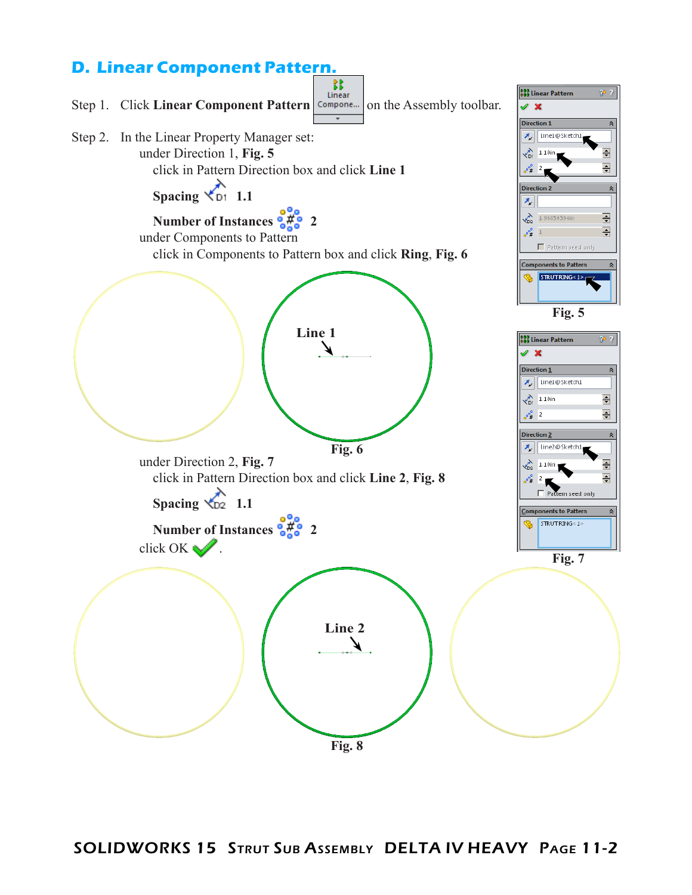